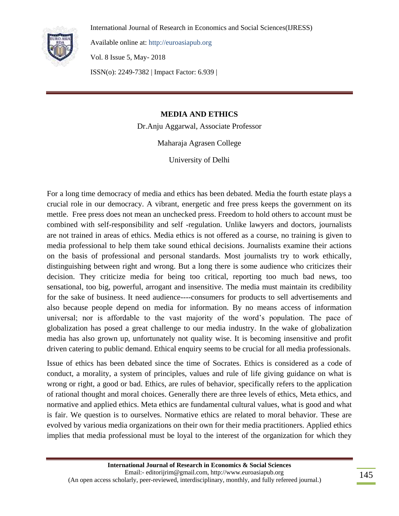

Available online at: http://euroasiapub.org

Vol. 8 Issue 5, May- 2018

ISSN(o): 2249-7382 | Impact Factor: 6.939 |

## **MEDIA AND ETHICS**

Dr.Anju Aggarwal, Associate Professor

Maharaja Agrasen College

University of Delhi

For a long time democracy of media and ethics has been debated. Media the fourth estate plays a crucial role in our democracy. A vibrant, energetic and free press keeps the government on its mettle. Free press does not mean an unchecked press. Freedom to hold others to account must be combined with self-responsibility and self -regulation. Unlike lawyers and doctors, journalists are not trained in areas of ethics. Media ethics is not offered as a course, no training is given to media professional to help them take sound ethical decisions. Journalists examine their actions on the basis of professional and personal standards. Most journalists try to work ethically, distinguishing between right and wrong. But a long there is some audience who criticizes their decision. They criticize media for being too critical, reporting too much bad news, too sensational, too big, powerful, arrogant and insensitive. The media must maintain its credibility for the sake of business. It need audience----consumers for products to sell advertisements and also because people depend on media for information. By no means access of information universal; nor is affordable to the vast majority of the word"s population. The pace of globalization has posed a great challenge to our media industry. In the wake of globalization media has also grown up, unfortunately not quality wise. It is becoming insensitive and profit driven catering to public demand. Ethical enquiry seems to be crucial for all media professionals.

Issue of ethics has been debated since the time of Socrates. Ethics is considered as a code of conduct, a morality, a system of principles, values and rule of life giving guidance on what is wrong or right, a good or bad. Ethics, are rules of behavior, specifically refers to the application of rational thought and moral choices. Generally there are three levels of ethics, Meta ethics, and normative and applied ethics. Meta ethics are fundamental cultural values, what is good and what is fair. We question is to ourselves. Normative ethics are related to moral behavior. These are evolved by various media organizations on their own for their media practitioners. Applied ethics implies that media professional must be loyal to the interest of the organization for which they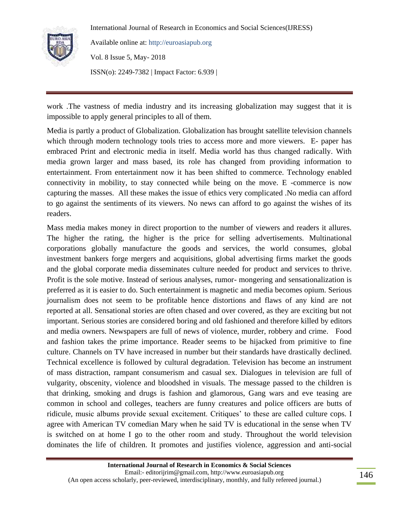

Available online at: http://euroasiapub.org Vol. 8 Issue 5, May- 2018 ISSN(o): 2249-7382 | Impact Factor: 6.939 |

work .The vastness of media industry and its increasing globalization may suggest that it is impossible to apply general principles to all of them.

Media is partly a product of Globalization. Globalization has brought satellite television channels which through modern technology tools tries to access more and more viewers. E- paper has embraced Print and electronic media in itself. Media world has thus changed radically. With media grown larger and mass based, its role has changed from providing information to entertainment. From entertainment now it has been shifted to commerce. Technology enabled connectivity in mobility, to stay connected while being on the move. E -commerce is now capturing the masses. All these makes the issue of ethics very complicated .No media can afford to go against the sentiments of its viewers. No news can afford to go against the wishes of its readers.

Mass media makes money in direct proportion to the number of viewers and readers it allures. The higher the rating, the higher is the price for selling advertisements. Multinational corporations globally manufacture the goods and services, the world consumes, global investment bankers forge mergers and acquisitions, global advertising firms market the goods and the global corporate media disseminates culture needed for product and services to thrive. Profit is the sole motive. Instead of serious analyses, rumor- mongering and sensationalization is preferred as it is easier to do. Such entertainment is magnetic and media becomes opium. Serious journalism does not seem to be profitable hence distortions and flaws of any kind are not reported at all. Sensational stories are often chased and over covered, as they are exciting but not important. Serious stories are considered boring and old fashioned and therefore killed by editors and media owners. Newspapers are full of news of violence, murder, robbery and crime. Food and fashion takes the prime importance. Reader seems to be hijacked from primitive to fine culture. Channels on TV have increased in number but their standards have drastically declined. Technical excellence is followed by cultural degradation. Television has become an instrument of mass distraction, rampant consumerism and casual sex. Dialogues in television are full of vulgarity, obscenity, violence and bloodshed in visuals. The message passed to the children is that drinking, smoking and drugs is fashion and glamorous, Gang wars and eve teasing are common in school and colleges, teachers are funny creatures and police officers are butts of ridicule, music albums provide sexual excitement. Critiques' to these are called culture cops. I agree with American TV comedian Mary when he said TV is educational in the sense when TV is switched on at home I go to the other room and study. Throughout the world television dominates the life of children. It promotes and justifies violence, aggression and anti-social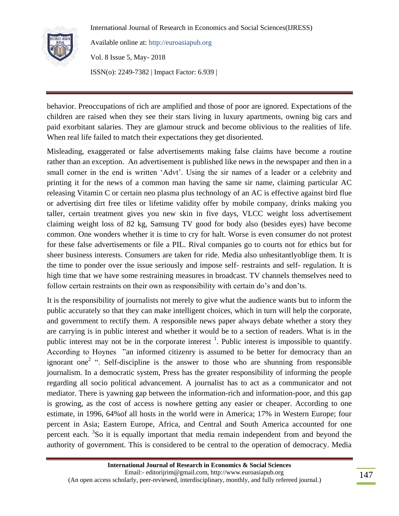

Available online at: http://euroasiapub.org Vol. 8 Issue 5, May- 2018

ISSN(o): 2249-7382 | Impact Factor: 6.939 |

behavior. Preoccupations of rich are amplified and those of poor are ignored. Expectations of the children are raised when they see their stars living in luxury apartments, owning big cars and paid exorbitant salaries. They are glamour struck and become oblivious to the realities of life. When real life failed to match their expectations they get disoriented.

Misleading, exaggerated or false advertisements making false claims have become a routine rather than an exception. An advertisement is published like news in the newspaper and then in a small corner in the end is written "Advt". Using the sir names of a leader or a celebrity and printing it for the news of a common man having the same sir name, claiming particular AC releasing Vitamin C or certain neo plasma plus technology of an AC is effective against bird flue or advertising dirt free tiles or lifetime validity offer by mobile company, drinks making you taller, certain treatment gives you new skin in five days, VLCC weight loss advertisement claiming weight loss of 82 kg, Samsung TV good for body also (besides eyes) have become common. One wonders whether it is time to cry for halt. Worse is even consumer do not protest for these false advertisements or file a PIL. Rival companies go to courts not for ethics but for sheer business interests. Consumers are taken for ride. Media also unhesitantlyoblige them. It is the time to ponder over the issue seriously and impose self- restraints and self- regulation. It is high time that we have some restraining measures in broadcast. TV channels themselves need to follow certain restraints on their own as responsibility with certain do's and don'ts.

It is the responsibility of journalists not merely to give what the audience wants but to inform the public accurately so that they can make intelligent choices, which in turn will help the corporate, and government to rectify them. A responsible news paper always debate whether a story they are carrying is in public interest and whether it would be to a section of readers. What is in the public interest may not be in the corporate interest  $\frac{1}{1}$ . Public interest is impossible to quantify. According to Hoynes "an informed citizenry is assumed to be better for democracy than an ignorant one<sup>2</sup> ". Self-discipline is the answer to those who are shunning from responsible journalism. In a democratic system, Press has the greater responsibility of informing the people regarding all socio political advancement. A journalist has to act as a communicator and not mediator. There is yawning gap between the information-rich and information-poor, and this gap is growing, as the cost of access is nowhere getting any easier or cheaper. According to one estimate, in 1996, 64%of all hosts in the world were in America; 17% in Western Europe; four percent in Asia; Eastern Europe, Africa, and Central and South America accounted for one percent each. <sup>3</sup>So it is equally important that media remain independent from and beyond the authority of government. This is considered to be central to the operation of democracy. Media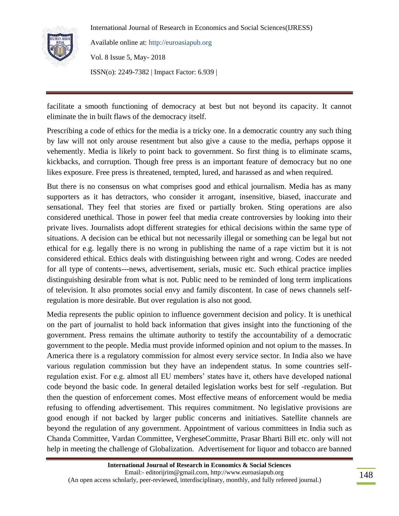

Available online at: http://euroasiapub.org Vol. 8 Issue 5, May- 2018 ISSN(o): 2249-7382 | Impact Factor: 6.939 |

facilitate a smooth functioning of democracy at best but not beyond its capacity. It cannot eliminate the in built flaws of the democracy itself.

Prescribing a code of ethics for the media is a tricky one. In a democratic country any such thing by law will not only arouse resentment but also give a cause to the media, perhaps oppose it vehemently. Media is likely to point back to government. So first thing is to eliminate scams, kickbacks, and corruption. Though free press is an important feature of democracy but no one likes exposure. Free press is threatened, tempted, lured, and harassed as and when required.

But there is no consensus on what comprises good and ethical journalism. Media has as many supporters as it has detractors, who consider it arrogant, insensitive, biased, inaccurate and sensational. They feel that stories are fixed or partially broken. Sting operations are also considered unethical. Those in power feel that media create controversies by looking into their private lives. Journalists adopt different strategies for ethical decisions within the same type of situations. A decision can be ethical but not necessarily illegal or something can be legal but not ethical for e.g. legally there is no wrong in publishing the name of a rape victim but it is not considered ethical. Ethics deals with distinguishing between right and wrong. Codes are needed for all type of contents---news, advertisement, serials, music etc. Such ethical practice implies distinguishing desirable from what is not. Public need to be reminded of long term implications of television. It also promotes social envy and family discontent. In case of news channels selfregulation is more desirable. But over regulation is also not good.

Media represents the public opinion to influence government decision and policy. It is unethical on the part of journalist to hold back information that gives insight into the functioning of the government. Press remains the ultimate authority to testify the accountability of a democratic government to the people. Media must provide informed opinion and not opium to the masses. In America there is a regulatory commission for almost every service sector. In India also we have various regulation commission but they have an independent status. In some countries selfregulation exist. For e.g. almost all EU members" states have it, others have developed national code beyond the basic code. In general detailed legislation works best for self -regulation. But then the question of enforcement comes. Most effective means of enforcement would be media refusing to offending advertisement. This requires commitment. No legislative provisions are good enough if not backed by larger public concerns and initiatives. Satellite channels are beyond the regulation of any government. Appointment of various committees in India such as Chanda Committee, Vardan Committee, VergheseCommitte, Prasar Bharti Bill etc. only will not help in meeting the challenge of Globalization. Advertisement for liquor and tobacco are banned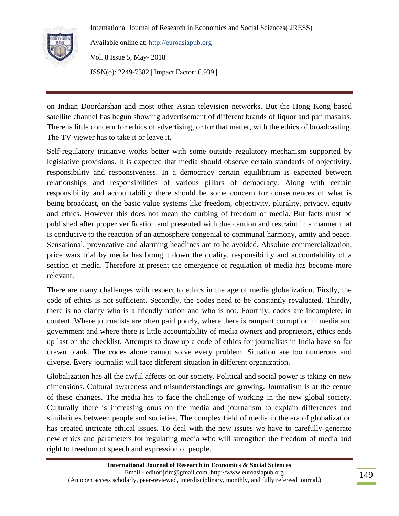

Available online at: http://euroasiapub.org

Vol. 8 Issue 5, May- 2018 ISSN(o): 2249-7382 | Impact Factor: 6.939 |

on Indian Doordarshan and most other Asian television networks. But the Hong Kong based satellite channel has begun showing advertisement of different brands of liquor and pan masalas. There is little concern for ethics of advertising, or for that matter, with the ethics of broadcasting. The TV viewer has to take it or leave it.

Self-regulatory initiative works better with some outside regulatory mechanism supported by legislative provisions. It is expected that media should observe certain standards of objectivity, responsibility and responsiveness. In a democracy certain equilibrium is expected between relationships and responsibilities of various pillars of democracy. Along with certain responsibility and accountability there should be some concern for consequences of what is being broadcast, on the basic value systems like freedom, objectivity, plurality, privacy, equity and ethics. However this does not mean the curbing of freedom of media. But facts must be published after proper verification and presented with due caution and restraint in a manner that is conducive to the reaction of an atmosphere congenial to communal harmony, amity and peace. Sensational, provocative and alarming headlines are to be avoided. Absolute commercialization, price wars trial by media has brought down the quality, responsibility and accountability of a section of media. Therefore at present the emergence of regulation of media has become more relevant.

There are many challenges with respect to ethics in the age of media globalization. Firstly, the code of ethics is not sufficient. Secondly, the codes need to be constantly revaluated. Thirdly, there is no clarity who is a friendly nation and who is not. Fourthly, codes are incomplete, in content. Where journalists are often paid poorly, where there is rampant corruption in media and government and where there is little accountability of media owners and proprietors, ethics ends up last on the checklist. Attempts to draw up a code of ethics for journalists in India have so far drawn blank. The codes alone cannot solve every problem. Situation are too numerous and diverse. Every journalist will face different situation in different organization.

Globalization has all the awful affects on our society. Political and social power is taking on new dimensions. Cultural awareness and misunderstandings are growing. Journalism is at the centre of these changes. The media has to face the challenge of working in the new global society. Culturally there is increasing onus on the media and journalism to explain differences and similarities between people and societies. The complex field of media in the era of globalization has created intricate ethical issues. To deal with the new issues we have to carefully generate new ethics and parameters for regulating media who will strengthen the freedom of media and right to freedom of speech and expression of people.